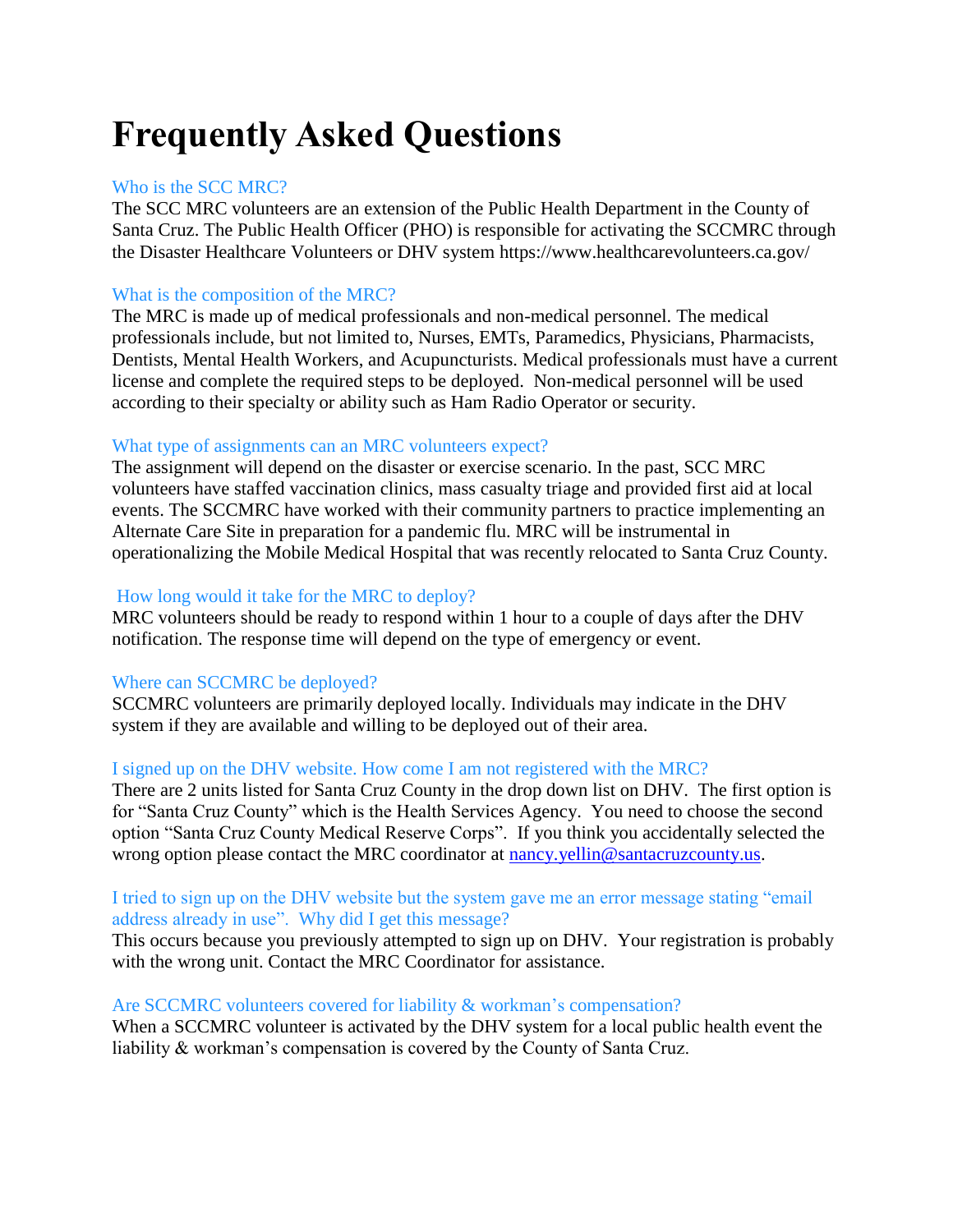# **Frequently Asked Questions**

# Who is the SCC MRC?

The SCC MRC volunteers are an extension of the Public Health Department in the County of Santa Cruz. The Public Health Officer (PHO) is responsible for activating the SCCMRC through the Disaster Healthcare Volunteers or DHV system https://www.healthcarevolunteers.ca.gov/

# What is the composition of the MRC?

The MRC is made up of medical professionals and non-medical personnel. The medical professionals include, but not limited to, Nurses, EMTs, Paramedics, Physicians, Pharmacists, Dentists, Mental Health Workers, and Acupuncturists. Medical professionals must have a current license and complete the required steps to be deployed. Non-medical personnel will be used according to their specialty or ability such as Ham Radio Operator or security.

# What type of assignments can an MRC volunteers expect?

The assignment will depend on the disaster or exercise scenario. In the past, SCC MRC volunteers have staffed vaccination clinics, mass casualty triage and provided first aid at local events. The SCCMRC have worked with their community partners to practice implementing an Alternate Care Site in preparation for a pandemic flu. MRC will be instrumental in operationalizing the Mobile Medical Hospital that was recently relocated to Santa Cruz County.

# How long would it take for the MRC to deploy?

MRC volunteers should be ready to respond within 1 hour to a couple of days after the DHV notification. The response time will depend on the type of emergency or event.

#### Where can SCCMRC be deployed?

SCCMRC volunteers are primarily deployed locally. Individuals may indicate in the DHV system if they are available and willing to be deployed out of their area.

#### I signed up on the DHV website. How come I am not registered with the MRC?

There are 2 units listed for Santa Cruz County in the drop down list on DHV. The first option is for "Santa Cruz County" which is the Health Services Agency. You need to choose the second option "Santa Cruz County Medical Reserve Corps". If you think you accidentally selected the wrong option please contact the MRC coordinator at [nancy.yellin@santacruzcounty.us.](mailto:nancy.yellin@santacruzcounty.us)

#### I tried to sign up on the DHV website but the system gave me an error message stating "email address already in use". Why did I get this message?

This occurs because you previously attempted to sign up on DHV. Your registration is probably with the wrong unit. Contact the MRC Coordinator for assistance.

#### Are SCCMRC volunteers covered for liability & workman's compensation?

When a SCCMRC volunteer is activated by the DHV system for a local public health event the liability & workman's compensation is covered by the County of Santa Cruz.